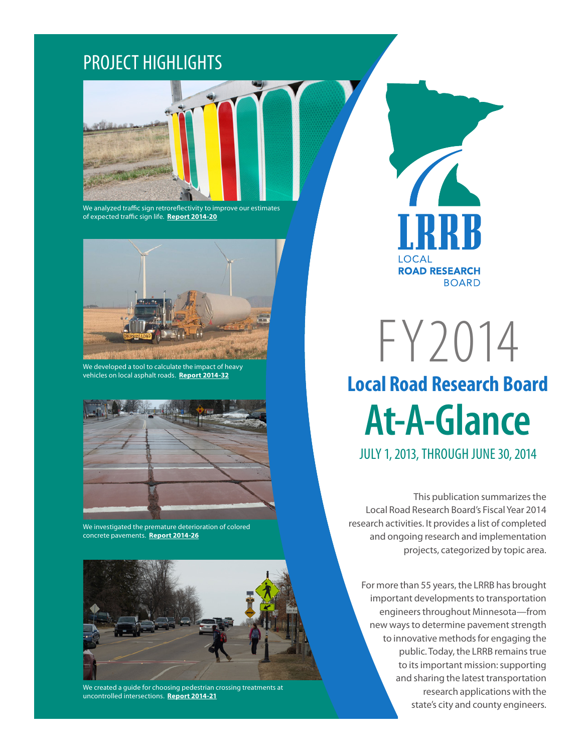## PROJECT HIGHLIGHTS



We analyzed traffic sign retroreflectivity to improve our estimates of expected traffic sign life. **[Report 2014-20](http://www.dot.state.mn.us/research/TS/2014/201420TS.pdf)**



We developed a tool to calculate the impact of heavy vehicles on local asphalt roads. **[Report 2014-32](http://www.dot.state.mn.us/research/TS/2014/201432TS.pdf)**



We investigated the premature deterioration of colored concrete pavements. **[Report 2014-26](http://www.dot.state.mn.us/research/TS/2014/201426TS.pdf)**



We created a guide for choosing pedestrian crossing treatments at uncontrolled intersections. **[Report 2014-21](http://www.dot.state.mn.us/research/TS/2014/201421TS.pdf)**

LOCAL **ROAD RESEARCH BOARD** 

FY2014 **Local Road Research Board At-A-Glance** JULY 1, 2013, THROUGH JUNE 30, 2014

This publication summarizes the Local Road Research Board's Fiscal Year 2014 research activities. It provides a list of completed and ongoing research and implementation projects, categorized by topic area.

For more than 55 years, the LRRB has brought important developments to transportation engineers throughout Minnesota—from new ways to determine pavement strength to innovative methods for engaging the public. Today, the LRRB remains true to its important mission: supporting and sharing the latest transportation research applications with the state's city and county engineers.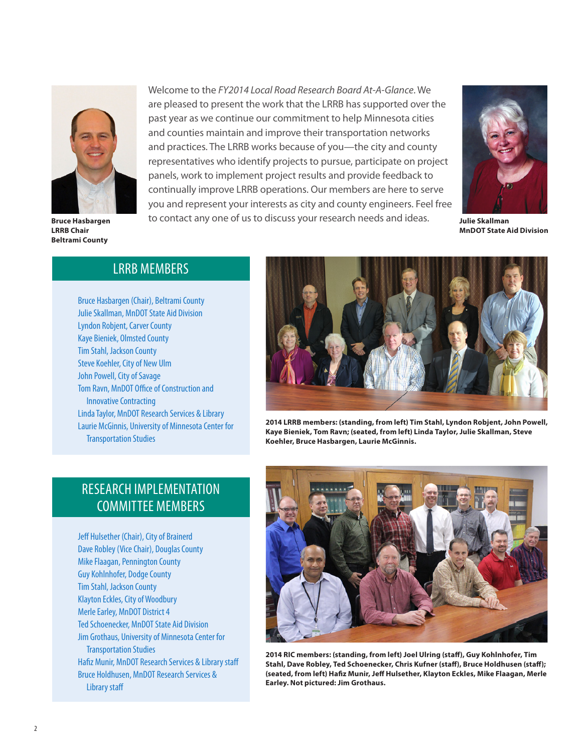

**Bruce Hasbargen LRRB Chair Beltrami County**

Welcome to the *FY2014 Local Road Research Board At-A-Glance*. We are pleased to present the work that the LRRB has supported over the past year as we continue our commitment to help Minnesota cities and counties maintain and improve their transportation networks and practices. The LRRB works because of you—the city and county representatives who identify projects to pursue, participate on project panels, work to implement project results and provide feedback to continually improve LRRB operations. Our members are here to serve you and represent your interests as city and county engineers. Feel free to contact any one of us to discuss your research needs and ideas.



**Julie Skallman MnDOT State Aid Division**

### LRRB MEMBERS

Bruce Hasbargen (Chair), Beltrami County Julie Skallman, MnDOT State Aid Division Lyndon Robjent, Carver County Kaye Bieniek, Olmsted County Tim Stahl, Jackson County Steve Koehler, City of New Ulm John Powell, City of Savage Tom Ravn, MnDOT Office of Construction and Innovative Contracting Linda Taylor, MnDOT Research Services & Library Laurie McGinnis, University of Minnesota Center for Transportation Studies



**2014 LRRB members: (standing, from left) Tim Stahl, Lyndon Robjent, John Powell, Kaye Bieniek, Tom Ravn; (seated, from left) Linda Taylor, Julie Skallman, Steve Koehler, Bruce Hasbargen, Laurie McGinnis.** 

### RESEARCH IMPLEMENTATION COMMITTEE MEMBERS

Jeff Hulsether (Chair), City of Brainerd Dave Robley (Vice Chair), Douglas County Mike Flaagan, Pennington County Guy Kohlnhofer, Dodge County Tim Stahl, Jackson County Klayton Eckles, City of Woodbury Merle Earley, MnDOT District 4 Ted Schoenecker, MnDOT State Aid Division Jim Grothaus, University of Minnesota Center for Transportation Studies Hafiz Munir, MnDOT Research Services & Library staff Bruce Holdhusen, MnDOT Research Services & Library staff



**2014 RIC members: (standing, from left) Joel Ulring (staff), Guy Kohlnhofer, Tim Stahl, Dave Robley, Ted Schoenecker, Chris Kufner (staff), Bruce Holdhusen (staff); (seated, from left) Hafiz Munir, Jeff Hulsether, Klayton Eckles, Mike Flaagan, Merle Earley. Not pictured: Jim Grothaus.**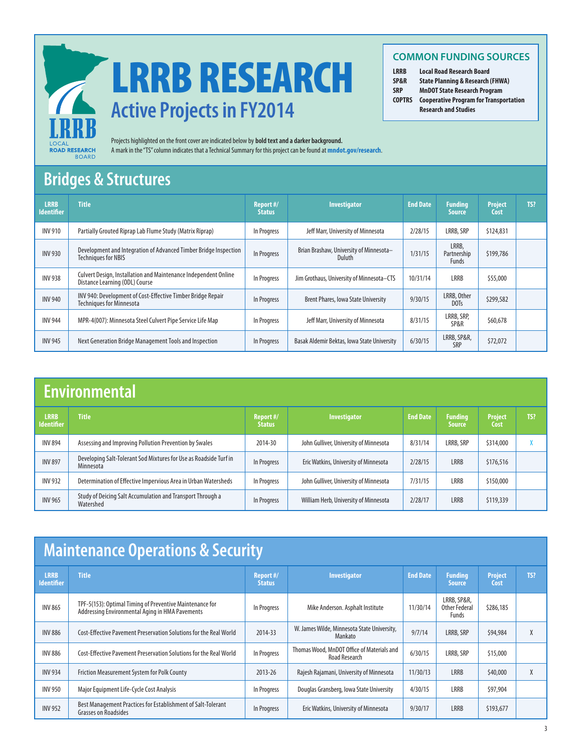

# **Active Projects in FY2014**  LRRB RESEARCH

Projects highlighted on the front cover are indicated below by **bold text and a darker background.**  A mark in the "TS" column indicates that a Technical Summary for this project can be found at **[mndot.gov/research](http://www.dot.state.mn.us/research/)**.

### **Bridges & Structures**

| <b>LRRB</b><br><b>Identifier</b> | <b>Title</b>                                                                                      | Report #/<br><b>Status</b> | <b>Investigator</b>                               | <b>End Date</b> | <b>Funding</b><br><b>Source</b>      | <b>Project</b><br>Cost | TS? |
|----------------------------------|---------------------------------------------------------------------------------------------------|----------------------------|---------------------------------------------------|-----------------|--------------------------------------|------------------------|-----|
| <b>INV 910</b>                   | Partially Grouted Riprap Lab Flume Study (Matrix Riprap)                                          | In Progress                | Jeff Marr, University of Minnesota                | 2/28/15         | LRRB, SRP                            | \$124,831              |     |
| <b>INV 930</b>                   | Development and Integration of Advanced Timber Bridge Inspection<br><b>Techniques for NBIS</b>    | In Progress                | Brian Brashaw, University of Minnesota-<br>Duluth | 1/31/15         | LRRB,<br>Partnership<br><b>Funds</b> | \$199,786              |     |
| <b>INV 938</b>                   | Culvert Design, Installation and Maintenance Independent Online<br>Distance Learning (ODL) Course | In Progress                | Jim Grothaus, University of Minnesota-CTS         | 10/31/14        | LRRB                                 | \$55,000               |     |
| <b>INV 940</b>                   | INV 940: Development of Cost-Effective Timber Bridge Repair<br><b>Techniques for Minnesota</b>    | In Progress                | Brent Phares, Iowa State University               | 9/30/15         | LRRB, Other<br>DOTs                  | \$299,582              |     |
| <b>INV 944</b>                   | MPR-4(007): Minnesota Steel Culvert Pipe Service Life Map                                         | In Progress                | Jeff Marr, University of Minnesota                | 8/31/15         | LRRB, SRP,<br>SP&R                   | \$60,678               |     |
| <b>INV 945</b>                   | Next Generation Bridge Management Tools and Inspection                                            | In Progress                | Basak Aldemir Bektas, Iowa State University       | 6/30/15         | LRRB, SP&R,<br>SRP                   | \$72,072               |     |

# **Environmental**

| <b>LRRB</b><br><b>Identifier</b> | <b>Title</b>                                                                          | Report #/<br><b>Status</b> | Investigator                           | <b>End Date</b> | <b>Funding</b><br><b>Source</b> | <b>Project</b><br>Cost | TS? |
|----------------------------------|---------------------------------------------------------------------------------------|----------------------------|----------------------------------------|-----------------|---------------------------------|------------------------|-----|
| <b>INV 894</b>                   | Assessing and Improving Pollution Prevention by Swales                                | 2014-30                    | John Gulliver, University of Minnesota | 8/31/14         | LRRB, SRP                       | \$314,000              |     |
| <b>INV 897</b>                   | Developing Salt-Tolerant Sod Mixtures for Use as Roadside Turf in<br><b>Minnesota</b> | In Progress                | Eric Watkins, University of Minnesota  | 2/28/15         | <b>LRRB</b>                     | \$176,516              |     |
| <b>INV 932</b>                   | Determination of Effective Impervious Area in Urban Watersheds                        | In Progress                | John Gulliver, University of Minnesota | 7/31/15         | LRRB                            | \$150,000              |     |
| <b>INV 965</b>                   | Study of Deicing Salt Accumulation and Transport Through a<br>Watershed               | In Progress                | William Herb, University of Minnesota  | 2/28/17         | <b>LRRB</b>                     | \$119,339              |     |

# **Maintenance Operations & Security**

| <b>LRRB</b><br><b>Identifier</b> | <b>Title</b>                                                                                                | Report #/<br><b>Status</b> | Investigator                                                | <b>End Date</b> | <b>Funding</b><br><b>Source</b>       | <b>Project</b><br>Cost | TS?    |
|----------------------------------|-------------------------------------------------------------------------------------------------------------|----------------------------|-------------------------------------------------------------|-----------------|---------------------------------------|------------------------|--------|
| <b>INV 865</b>                   | TPF-5(153): Optimal Timing of Preventive Maintenance for<br>Addressing Environmental Aging in HMA Pavements | In Progress                | Mike Anderson. Asphalt Institute                            | 11/30/14        | LRRB, SP&R,<br>Other Federal<br>Funds | \$286,185              |        |
| <b>INV 886</b>                   | Cost-Effective Pavement Preservation Solutions for the Real World                                           | 2014-33                    | W. James Wilde, Minnesota State University,<br>Mankato      | 9/7/14          | LRRB, SRP                             | \$94,984               | $\chi$ |
| <b>INV 886</b>                   | Cost-Effective Pavement Preservation Solutions for the Real World                                           | In Progress                | Thomas Wood, MnDOT Office of Materials and<br>Road Research | 6/30/15         | LRRB, SRP                             | \$15,000               |        |
| <b>INV 934</b>                   | Friction Measurement System for Polk County                                                                 | 2013-26                    | Rajesh Rajamani, University of Minnesota                    | 11/30/13        | LRRB                                  | \$40,000               | $\chi$ |
| <b>INV 950</b>                   | Major Equipment Life-Cycle Cost Analysis                                                                    | In Progress                | Douglas Gransberg, Iowa State University                    | 4/30/15         | LRRB                                  | \$97,904               |        |
| <b>INV 952</b>                   | Best Management Practices for Establishment of Salt-Tolerant<br><b>Grasses on Roadsides</b>                 | In Progress                | Eric Watkins, University of Minnesota                       | 9/30/17         | <b>LRRB</b>                           | \$193,677              |        |

### **COMMON FUNDING SOURCES**

- **LRRB Local Road Research Board**
- **State Planning & Research (FHWA)**
- **SRP MnDOT State Research Program**
- **COPTRS Cooperative Program for Transportation Research and Studies**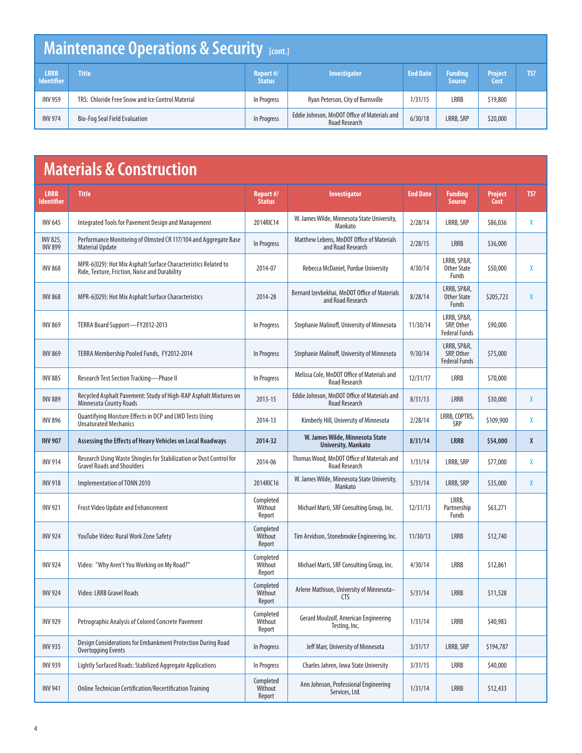# **Maintenance Operations & Security [cont.]**

| <b>LRRB</b>       | <b>Title</b>                                     | Report #/     | <b>Investigator</b>                                                  | <b>End Date</b> | <b>Funding</b> | <b>Project</b> | TS? |
|-------------------|--------------------------------------------------|---------------|----------------------------------------------------------------------|-----------------|----------------|----------------|-----|
| <b>Identifier</b> |                                                  | <b>Status</b> |                                                                      |                 | <b>Source</b>  | Cost           |     |
| <b>INV 959</b>    | TRS: Chloride Free Snow and Ice Control Material | In Progress   | Ryan Peterson, City of Burnsville                                    | 1/31/15         | <b>LRRB</b>    | \$19,800       |     |
| <b>INV 974</b>    | Bio-Fog Seal Field Evaluation                    | In Progress   | Eddie Johnson, MnDOT Office of Materials and<br><b>Road Research</b> | 6/30/18         | LRRB, SRP      | \$20,000       |     |

# **Materials & Construction**

| <b>LRRB</b><br><b>Identifier</b> | <b>Title</b>                                                                                                    | Report #/<br><b>Status</b>     | <b>Investigator</b>                                                  | <b>End Date</b> | <b>Funding</b><br><b>Source</b>                   | <b>Project</b><br>Cost | TS? |
|----------------------------------|-----------------------------------------------------------------------------------------------------------------|--------------------------------|----------------------------------------------------------------------|-----------------|---------------------------------------------------|------------------------|-----|
| <b>INV 645</b>                   | Integrated Tools for Pavement Design and Management                                                             | 2014RIC14                      | W. James Wilde, Minnesota State University,<br>Mankato               | 2/28/14         | LRRB, SRP                                         | \$86,036               | χ   |
| INV 825,<br><b>INV 899</b>       | Performance Monitoring of Olmsted CR 117/104 and Aggregate Base<br><b>Material Update</b>                       | In Progress                    | Matthew Lebens, MnDOT Office of Materials<br>and Road Research       | 2/28/15         | <b>LRRB</b>                                       | \$36,000               |     |
| <b>INV 868</b>                   | MPR-6(029): Hot Mix Asphalt Surface Characteristics Related to<br>Ride, Texture, Friction, Noise and Durability | 2014-07                        | Rebecca McDaniel, Purdue University                                  | 4/30/14         | LRRB, SP&R,<br><b>Other State</b><br>Funds        | \$50,000               | χ   |
| <b>INV 868</b>                   | MPR-6(029): Hot Mix Asphalt Surface Characteristics                                                             | 2014-28                        | Bernard Izevbekhai, MnDOT Office of Materials<br>and Road Research   | 8/28/14         | LRRB, SP&R,<br><b>Other State</b><br>Funds        | \$205,723              | X   |
| <b>INV 869</b>                   | TERRA Board Support-FY2012-2013                                                                                 | In Progress                    | Stephanie Malinoff, University of Minnesota                          | 11/30/14        | LRRB, SP&R,<br>SRP, Other<br><b>Federal Funds</b> | \$90,000               |     |
| <b>INV 869</b>                   | TERRA Membership Pooled Funds, FY2012-2014                                                                      | In Progress                    | Stephanie Malinoff, University of Minnesota                          | 9/30/14         | LRRB, SP&R,<br>SRP, Other<br><b>Federal Funds</b> | \$75,000               |     |
| <b>INV 885</b>                   | Research Test Section Tracking-Phase II                                                                         | In Progress                    | Melissa Cole, MnDOT Office of Materials and<br><b>Road Research</b>  | 12/31/17        | LRRB                                              | \$70,000               |     |
| <b>INV 889</b>                   | Recycled Asphalt Pavement: Study of High-RAP Asphalt Mixtures on<br><b>Minnesota County Roads</b>               | 2013-15                        | Eddie Johnson, MnDOT Office of Materials and<br><b>Road Research</b> | 8/31/13         | <b>LRRB</b>                                       | \$30,000               | X   |
| <b>INV 896</b>                   | Quantifying Moisture Effects in DCP and LWD Tests Using<br><b>Unsaturated Mechanics</b>                         | 2014-13                        | Kimberly Hill, University of Minnesota                               | 2/28/14         | LRRB, COPTRS,<br><b>SRP</b>                       | \$109,900              | χ   |
| <b>INV 907</b>                   | Assessing the Effects of Heavy Vehicles on Local Roadways                                                       | 2014-32                        | W. James Wilde, Minnesota State<br><b>University, Mankato</b>        | 8/31/14         | <b>LRRB</b>                                       | \$54,000               | X   |
| <b>INV 914</b>                   | Research Using Waste Shingles for Stabilization or Dust Control for<br><b>Gravel Roads and Shoulders</b>        | 2014-06                        | Thomas Wood, MnDOT Office of Materials and<br><b>Road Research</b>   | 1/31/14         | LRRB, SRP                                         | \$77,000               | X   |
| <b>INV 918</b>                   | Implementation of TONN 2010                                                                                     | 2014RIC16                      | W. James Wilde, Minnesota State University,<br>Mankato               | 5/31/14         | LRRB, SRP                                         | \$35,000               | X   |
| <b>INV 921</b>                   | <b>Frost Video Update and Enhancement</b>                                                                       | Completed<br>Without<br>Report | Michael Marti, SRF Consulting Group, Inc.                            | 12/31/13        | LRRB.<br>Partnership<br>Funds                     | \$63,271               |     |
| <b>INV 924</b>                   | YouTube Video: Rural Work Zone Safety                                                                           | Completed<br>Without<br>Report | Tim Arvidson, Stonebrooke Engineering, Inc.                          | 11/30/13        | <b>LRRB</b>                                       | \$12,740               |     |
| <b>INV 924</b>                   | Video: "Why Aren't You Working on My Road?"                                                                     | Completed<br>Without<br>Report | Michael Marti, SRF Consulting Group, Inc.                            | 4/30/14         | LRRB                                              | \$12,861               |     |
| <b>INV 924</b>                   | Video: LRRB Gravel Roads                                                                                        | Completed<br>Without<br>Report | Arlene Mathison, University of Minnesota-<br><b>CTS</b>              | 5/31/14         | <b>LRRB</b>                                       | \$11,528               |     |
| <b>INV 929</b>                   | Petrographic Analysis of Colored Concrete Pavement                                                              | Completed<br>Without<br>Report | Gerard Moulzolf, American Engineering<br>Testing, Inc.               | 1/31/14         | LRRB                                              | \$40,983               |     |
| <b>INV 935</b>                   | Design Considerations for Embankment Protection During Road<br><b>Overtopping Events</b>                        | In Progress                    | Jeff Marr, University of Minnesota                                   | 3/31/17         | LRRB, SRP                                         | \$194,787              |     |
| <b>INV 939</b>                   | Lightly Surfaced Roads: Stabilized Aggregate Applications                                                       | In Progress                    | Charles Jahren, Iowa State University                                | 3/31/15         | LRRB                                              | \$40,000               |     |
| <b>INV 941</b>                   | Online Technician Certification/Recertification Training                                                        | Completed<br>Without<br>Report | Ann Johnson, Professional Engineering<br>Services, Ltd.              | 1/31/14         | LRRB                                              | \$12,433               |     |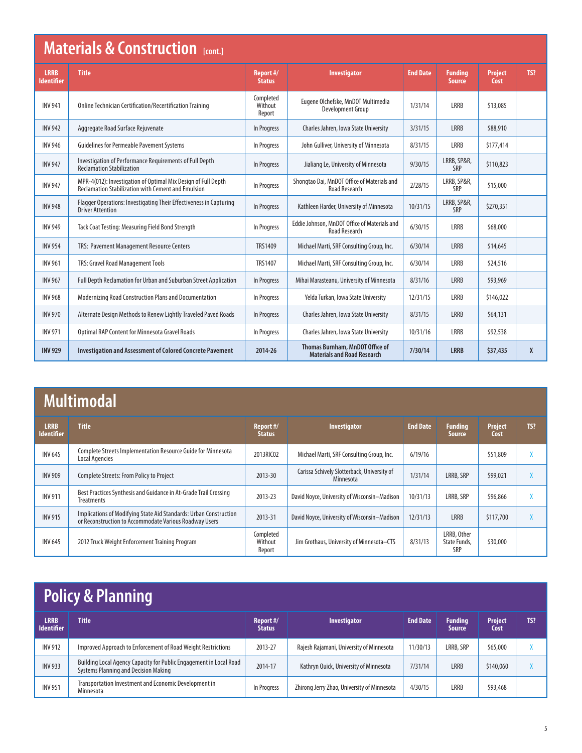|                                  | <b>Materials &amp; Construction [cont.]</b>                                                                                |                                |                                                                       |                 |                                 |                        |     |  |  |  |  |  |
|----------------------------------|----------------------------------------------------------------------------------------------------------------------------|--------------------------------|-----------------------------------------------------------------------|-----------------|---------------------------------|------------------------|-----|--|--|--|--|--|
| <b>LRRB</b><br><b>Identifier</b> | <b>Title</b>                                                                                                               | Report #/<br><b>Status</b>     | <b>Investigator</b>                                                   | <b>End Date</b> | <b>Funding</b><br><b>Source</b> | <b>Project</b><br>Cost | TS? |  |  |  |  |  |
| <b>INV 941</b>                   | Online Technician Certification/Recertification Training                                                                   | Completed<br>Without<br>Report | Eugene Olchefske, MnDOT Multimedia<br>Development Group               | 1/31/14         | LRRB                            | \$13,085               |     |  |  |  |  |  |
| <b>INV 942</b>                   | Aggregate Road Surface Rejuvenate                                                                                          | In Progress                    | Charles Jahren, Iowa State University                                 | 3/31/15         | <b>LRRB</b>                     | \$88,910               |     |  |  |  |  |  |
| <b>INV 946</b>                   | <b>Guidelines for Permeable Pavement Systems</b>                                                                           | In Progress                    | John Gulliver, University of Minnesota                                | 8/31/15         | LRRB                            | \$177,414              |     |  |  |  |  |  |
| <b>INV 947</b>                   | Investigation of Performance Requirements of Full Depth<br><b>Reclamation Stabilization</b>                                | In Progress                    | Jialiang Le, University of Minnesota                                  | 9/30/15         | LRRB, SP&R,<br>SRP              | \$110,823              |     |  |  |  |  |  |
| <b>INV 947</b>                   | MPR-4(012): Investigation of Optimal Mix Design of Full Depth<br><b>Reclamation Stabilization with Cement and Emulsion</b> | In Progress                    | Shongtao Dai, MnDOT Office of Materials and<br><b>Road Research</b>   | 2/28/15         | LRRB, SP&R,<br>SRP              | \$15,000               |     |  |  |  |  |  |
| <b>INV 948</b>                   | Flagger Operations: Investigating Their Effectiveness in Capturing<br><b>Driver Attention</b>                              | In Progress                    | Kathleen Harder, University of Minnesota                              | 10/31/15        | LRRB, SP&R,<br>SRP              | \$270,351              |     |  |  |  |  |  |
| <b>INV 949</b>                   | Tack Coat Testing: Measuring Field Bond Strength                                                                           | In Progress                    | Eddie Johnson, MnDOT Office of Materials and<br><b>Road Research</b>  | 6/30/15         | LRRB                            | \$68,000               |     |  |  |  |  |  |
| <b>INV 954</b>                   | TRS: Pavement Management Resource Centers                                                                                  | TRS1409                        | Michael Marti, SRF Consulting Group, Inc.                             | 6/30/14         | <b>LRRB</b>                     | \$14,645               |     |  |  |  |  |  |
| <b>INV 961</b>                   | TRS: Gravel Road Management Tools                                                                                          | <b>TRS1407</b>                 | Michael Marti, SRF Consulting Group, Inc.                             | 6/30/14         | LRRB                            | \$24,516               |     |  |  |  |  |  |
| <b>INV 967</b>                   | Full Depth Reclamation for Urban and Suburban Street Application                                                           | In Progress                    | Mihai Marasteanu, University of Minnesota                             | 8/31/16         | <b>LRRB</b>                     | \$93,969               |     |  |  |  |  |  |
| <b>INV 968</b>                   | Modernizing Road Construction Plans and Documentation                                                                      | In Progress                    | Yelda Turkan, Iowa State University                                   | 12/31/15        | LRRB                            | \$146,022              |     |  |  |  |  |  |
| <b>INV 970</b>                   | Alternate Design Methods to Renew Lightly Traveled Paved Roads                                                             | In Progress                    | Charles Jahren, Iowa State University                                 | 8/31/15         | <b>LRRB</b>                     | \$64,131               |     |  |  |  |  |  |
| <b>INV 971</b>                   | <b>Optimal RAP Content for Minnesota Gravel Roads</b>                                                                      | In Progress                    | Charles Jahren, Iowa State University                                 | 10/31/16        | <b>LRRB</b>                     | \$92,538               |     |  |  |  |  |  |
| <b>INV 929</b>                   | <b>Investigation and Assessment of Colored Concrete Pavement</b>                                                           | 2014-26                        | Thomas Burnham, MnDOT Office of<br><b>Materials and Road Research</b> | 7/30/14         | <b>LRRB</b>                     | \$37,435               | X   |  |  |  |  |  |

# **Multimodal**

| <b>LRRB</b><br><b>Identifier</b> | <b>Title</b>                                                                                                                | Report #/<br><b>Status</b>     | <b>Investigator</b>                                      | <b>End Date</b> | <b>Funding</b><br><b>Source</b>    | <b>Project</b><br>Cost | TS? |
|----------------------------------|-----------------------------------------------------------------------------------------------------------------------------|--------------------------------|----------------------------------------------------------|-----------------|------------------------------------|------------------------|-----|
| <b>INV 645</b>                   | Complete Streets Implementation Resource Guide for Minnesota<br>Local Agencies                                              | 2013RIC02                      | Michael Marti, SRF Consulting Group, Inc.                | 6/19/16         |                                    | \$51,809               |     |
| <b>INV 909</b>                   | <b>Complete Streets: From Policy to Project</b>                                                                             | 2013-30                        | Carissa Schively Slotterback, University of<br>Minnesota | 1/31/14         | LRRB, SRP                          | \$99,021               |     |
| <b>INV 911</b>                   | Best Practices Synthesis and Guidance in At-Grade Trail Crossing<br>Treatments                                              | 2013-23                        | David Noyce, University of Wisconsin-Madison             | 10/31/13        | LRRB, SRP                          | \$96,866               |     |
| <b>INV 915</b>                   | Implications of Modifying State Aid Standards: Urban Construction<br>or Reconstruction to Accommodate Various Roadway Users | 2013-31                        | David Noyce, University of Wisconsin-Madison             | 12/31/13        | <b>LRRB</b>                        | \$117,700              |     |
| <b>INV 645</b>                   | 2012 Truck Weight Enforcement Training Program                                                                              | Completed<br>Without<br>Report | Jim Grothaus, University of Minnesota-CTS                | 8/31/13         | LRRB, Other<br>State Funds.<br>SRP | \$30,000               |     |

# **Policy & Planning**

| ______                           | ______________________                                                                                     |                            |                                             |                 |                                 |                        |     |
|----------------------------------|------------------------------------------------------------------------------------------------------------|----------------------------|---------------------------------------------|-----------------|---------------------------------|------------------------|-----|
| <b>LRRB</b><br><b>Identifier</b> | <b>Title</b>                                                                                               | Report #/<br><b>Status</b> | <b>Investigator</b>                         | <b>End Date</b> | <b>Funding</b><br><b>Source</b> | <b>Project</b><br>Cost | TS? |
| <b>INV 912</b>                   | Improved Approach to Enforcement of Road Weight Restrictions                                               | 2013-27                    | Rajesh Rajamani, University of Minnesota    | 11/30/13        | LRRB, SRP                       | \$65,000               |     |
| <b>INV 933</b>                   | Building Local Agency Capacity for Public Engagement in Local Road<br>Systems Planning and Decision Making | 2014-17                    | Kathryn Quick, University of Minnesota      | 7/31/14         | LRRB                            | \$140,060              |     |
| <b>INV 951</b>                   | Transportation Investment and Economic Development in<br>Minnesota                                         | In Progress                | Zhirong Jerry Zhao, University of Minnesota | 4/30/15         | LRRB                            | \$93,468               |     |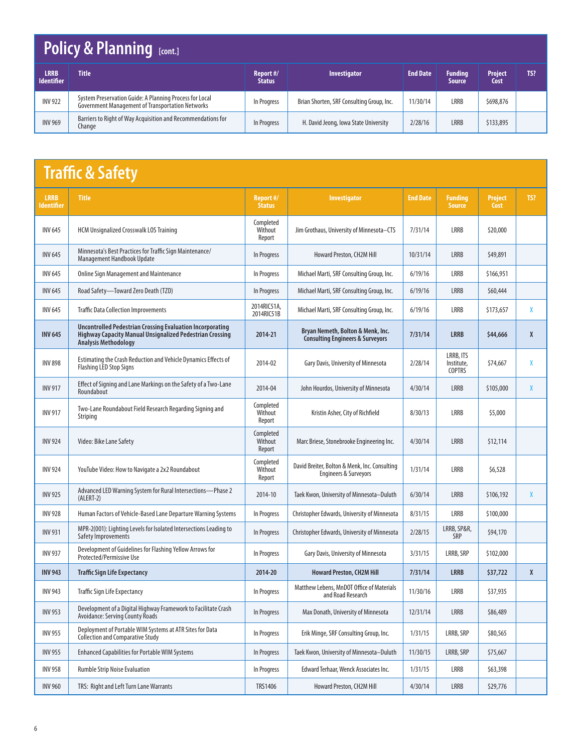# **Policy & Planning [cont.]**

| LRRB.<br><b>Identifier</b> | <b>Title</b>                                                                                                       | Report #/<br><b>Status</b> | <b>Investigator</b>                       | <b>End Date</b> | <b>Funding</b><br><b>Source</b> | <b>Project</b><br>Cost | TS? |
|----------------------------|--------------------------------------------------------------------------------------------------------------------|----------------------------|-------------------------------------------|-----------------|---------------------------------|------------------------|-----|
| <b>INV 922</b>             | System Preservation Guide: A Planning Process for Local<br><b>Government Management of Transportation Networks</b> | In Progress                | Brian Shorten, SRF Consulting Group, Inc. | 11/30/14        | LRRB                            | \$698,876              |     |
| <b>INV 969</b>             | Barriers to Right of Way Acquisition and Recommendations for<br>Change                                             | In Progress                | H. David Jeong, Iowa State University     | 2/28/16         | <b>LRRB</b>                     | \$133,895              |     |

# **Traffic & Safety**

| <b>LRRB</b><br>ldentifier | <b>Title</b>                                                                                                                                                | Report #/<br><b>Status</b>     | <b>Investigator</b>                                                               | <b>End Date</b> | <b>Funding</b><br><b>Source</b>          | <b>Project</b><br>Cost | TS?          |
|---------------------------|-------------------------------------------------------------------------------------------------------------------------------------------------------------|--------------------------------|-----------------------------------------------------------------------------------|-----------------|------------------------------------------|------------------------|--------------|
| <b>INV 645</b>            | <b>HCM Unsignalized Crosswalk LOS Training</b>                                                                                                              | Completed<br>Without<br>Report | Jim Grothaus, University of Minnesota-CTS                                         | 7/31/14         | <b>LRRB</b>                              | \$20,000               |              |
| <b>INV 645</b>            | Minnesota's Best Practices for Traffic Sign Maintenance/<br>Management Handbook Update                                                                      | In Progress                    | Howard Preston, CH2M Hill                                                         | 10/31/14        | <b>LRRB</b>                              | \$49,891               |              |
| <b>INV 645</b>            | <b>Online Sign Management and Maintenance</b>                                                                                                               | In Progress                    | Michael Marti, SRF Consulting Group, Inc.                                         | 6/19/16         | <b>LRRB</b>                              | \$166,951              |              |
| <b>INV 645</b>            | Road Safety-Toward Zero Death (TZD)                                                                                                                         | In Progress                    | Michael Marti, SRF Consulting Group, Inc.                                         | 6/19/16         | <b>LRRB</b>                              | \$60,444               |              |
| <b>INV 645</b>            | <b>Traffic Data Collection Improvements</b>                                                                                                                 | 2014RIC51A,<br>2014RIC51B      | Michael Marti, SRF Consulting Group, Inc.                                         | 6/19/16         | LRRB                                     | \$173,657              | X            |
| <b>INV 645</b>            | <b>Uncontrolled Pedestrian Crossing Evaluation Incorporating</b><br>Highway Capacity Manual Unsignalized Pedestrian Crossing<br><b>Analysis Methodology</b> | 2014-21                        | Bryan Nemeth, Bolton & Menk, Inc.<br><b>Consulting Engineers &amp; Surveyors</b>  | 7/31/14         | <b>LRRB</b>                              | \$44,666               | X            |
| <b>INV 898</b>            | Estimating the Crash Reduction and Vehicle Dynamics Effects of<br><b>Flashing LED Stop Signs</b>                                                            | 2014-02                        | Gary Davis, University of Minnesota                                               | 2/28/14         | LRRB, ITS<br>Institute,<br><b>COPTRS</b> | \$74,667               | χ            |
| <b>INV 917</b>            | Effect of Signing and Lane Markings on the Safety of a Two-Lane<br>Roundabout                                                                               | 2014-04                        | John Hourdos, University of Minnesota                                             | 4/30/14         | <b>LRRB</b>                              | \$105,000              | X            |
| <b>INV 917</b>            | Two-Lane Roundabout Field Research Regarding Signing and<br>Striping                                                                                        | Completed<br>Without<br>Report | Kristin Asher, City of Richfield                                                  | 8/30/13         | LRRB                                     | \$5,000                |              |
| <b>INV 924</b>            | Video: Bike Lane Safety                                                                                                                                     | Completed<br>Without<br>Report | Marc Briese, Stonebrooke Engineering Inc.                                         | 4/30/14         | <b>LRRB</b>                              | \$12,114               |              |
| <b>INV 924</b>            | YouTube Video: How to Navigate a 2x2 Roundabout                                                                                                             | Completed<br>Without<br>Report | David Breiter, Bolton & Menk, Inc. Consulting<br><b>Engineers &amp; Surveyors</b> | 1/31/14         | LRRB                                     | \$6,528                |              |
| <b>INV 925</b>            | Advanced LED Warning System for Rural Intersections-Phase 2<br>$(ALERT-2)$                                                                                  | 2014-10                        | Taek Kwon, University of Minnesota-Duluth                                         | 6/30/14         | <b>LRRB</b>                              | \$106,192              | X            |
| <b>INV 928</b>            | Human Factors of Vehicle-Based Lane Departure Warning Systems                                                                                               | In Progress                    | Christopher Edwards, University of Minnesota                                      | 8/31/15         | <b>LRRB</b>                              | \$100,000              |              |
| <b>INV 931</b>            | MPR-2(001): Lighting Levels for Isolated Intersections Leading to<br>Safety Improvements                                                                    | In Progress                    | Christopher Edwards, University of Minnesota                                      | 2/28/15         | LRRB, SP&R,<br><b>SRP</b>                | \$94,170               |              |
| <b>INV 937</b>            | Development of Guidelines for Flashing Yellow Arrows for<br>Protected/Permissive Use                                                                        | In Progress                    | Gary Davis, University of Minnesota                                               | 3/31/15         | LRRB, SRP                                | \$102,000              |              |
| <b>INV 943</b>            | <b>Traffic Sign Life Expectancy</b>                                                                                                                         | 2014-20                        | <b>Howard Preston, CH2M Hill</b>                                                  | 7/31/14         | <b>LRRB</b>                              | \$37,722               | $\mathsf{X}$ |
| <b>INV 943</b>            | <b>Traffic Sign Life Expectancy</b>                                                                                                                         | In Progress                    | Matthew Lebens, MnDOT Office of Materials<br>and Road Research                    | 11/30/16        | LRRB                                     | \$37,935               |              |
| <b>INV 953</b>            | Development of a Digital Highway Framework to Facilitate Crash<br>Avoidance: Serving County Roads                                                           | In Progress                    | Max Donath, University of Minnesota                                               | 12/31/14        | LRRB                                     | \$86,489               |              |
| <b>INV 955</b>            | Deployment of Portable WIM Systems at ATR Sites for Data<br><b>Collection and Comparative Study</b>                                                         | In Progress                    | Erik Minge, SRF Consulting Group, Inc.                                            | 1/31/15         | LRRB, SRP                                | \$80,565               |              |
| <b>INV 955</b>            | <b>Enhanced Capabilities for Portable WIM Systems</b>                                                                                                       | In Progress                    | Taek Kwon, University of Minnesota-Duluth                                         | 11/30/15        | LRRB, SRP                                | \$75,667               |              |
| <b>INV 958</b>            | <b>Rumble Strip Noise Evaluation</b>                                                                                                                        | In Progress                    | Edward Terhaar, Wenck Associates Inc.                                             | 1/31/15         | LRRB                                     | \$63,398               |              |
| <b>INV 960</b>            | TRS: Right and Left Turn Lane Warrants                                                                                                                      | <b>TRS1406</b>                 | Howard Preston, CH2M Hill                                                         | 4/30/14         | LRRB                                     | \$29,776               |              |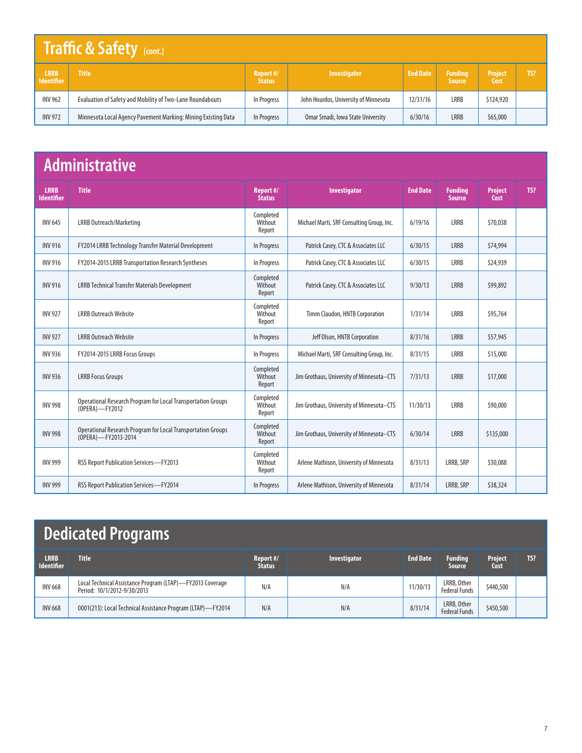#### **LRRB Identifier Title Report #/ Status Investigator End Date** Funding<br>Source **Project Cost** INV 962 | Evaluation of Safety and Mobility of Two-Lane Roundabouts | In Progress | John Hourdos, University of Minnesota | 12/31/16 | LRRB | \$124,920 INV 972 Minnesota Local Agency Pavement Marking: Mining Existing Data | In Progress | Omar Smadi, Iowa State University | 6/30/16 | LRRB | \$65,000 **Traffic & Safety [cont.]**

### **Administrative**

| <b>LRRB</b><br><b>Identifier</b> | <b>Title</b>                                                                        | Report #/<br><b>Status</b>     | Investigator                              | <b>End Date</b> | <b>Funding</b><br><b>Source</b> | <b>Project</b><br>Cost | TS? |
|----------------------------------|-------------------------------------------------------------------------------------|--------------------------------|-------------------------------------------|-----------------|---------------------------------|------------------------|-----|
| <b>INV 645</b>                   | LRRB Outreach/Marketing                                                             | Completed<br>Without<br>Report | Michael Marti, SRF Consulting Group, Inc. | 6/19/16         | LRRB                            | \$70,038               |     |
| <b>INV 916</b>                   | FY2014 LRRB Technology Transfer Material Development                                | In Progress                    | Patrick Casey, CTC & Associates LLC       | 6/30/15         | <b>LRRB</b>                     | \$74,994               |     |
| <b>INV 916</b>                   | FY2014-2015 LRRB Transportation Research Syntheses                                  | In Progress                    | Patrick Casey, CTC & Associates LLC       | 6/30/15         | <b>LRRB</b>                     | \$24,939               |     |
| <b>INV 916</b>                   | <b>LRRB Technical Transfer Materials Development</b>                                | Completed<br>Without<br>Report | Patrick Casey, CTC & Associates LLC       | 9/30/13         | <b>LRRB</b>                     | \$99,892               |     |
| <b>INV 927</b>                   | <b>LRRB Outreach Website</b>                                                        | Completed<br>Without<br>Report | Timm Claudon, HNTB Corporation            | 1/31/14         | <b>LRRB</b>                     | \$95,764               |     |
| <b>INV 927</b>                   | <b>LRRB Outreach Website</b>                                                        | In Progress                    | Jeff Olson, HNTB Corporation              | 8/31/16         | <b>LRRB</b>                     | \$57,945               |     |
| <b>INV 936</b>                   | FY2014-2015 LRRB Focus Groups                                                       | In Progress                    | Michael Marti, SRF Consulting Group, Inc. | 8/31/15         | LRRB                            | \$15,000               |     |
| <b>INV 936</b>                   | <b>LRRB Focus Groups</b>                                                            | Completed<br>Without<br>Report | Jim Grothaus, University of Minnesota-CTS | 7/31/13         | LRRB                            | \$17,000               |     |
| <b>INV 998</b>                   | Operational Research Program for Local Transportation Groups<br>(OPERA)-FY2012      | Completed<br>Without<br>Report | Jim Grothaus, University of Minnesota-CTS | 11/30/13        | <b>LRRB</b>                     | \$90,000               |     |
| <b>INV 998</b>                   | Operational Research Program for Local Transportation Groups<br>(OPERA)-FY2013-2014 | Completed<br>Without<br>Report | Jim Grothaus, University of Minnesota-CTS | 6/30/14         | <b>LRRB</b>                     | \$135,000              |     |
| <b>INV 999</b>                   | RSS Report Publication Services-FY2013                                              | Completed<br>Without<br>Report | Arlene Mathison, University of Minnesota  | 8/31/13         | LRRB, SRP                       | \$30,088               |     |
| <b>INV 999</b>                   | <b>RSS Report Publication Services-FY2014</b>                                       | In Progress                    | Arlene Mathison, University of Minnesota  | 8/31/14         | LRRB, SRP                       | \$38,324               |     |

# **Dedicated Programs**

| <b>LRRB</b><br><b>Identifier</b> | <b>Title</b>                                                                             | Report #/<br><b>Status</b> | <b>Investigator</b> | <b>End Date</b> | <b>Funding</b><br><b>Source</b>     | Project<br>Cost | TS? |
|----------------------------------|------------------------------------------------------------------------------------------|----------------------------|---------------------|-----------------|-------------------------------------|-----------------|-----|
| <b>INV 668</b>                   | Local Technical Assistance Program (LTAP)-FY2013 Coverage<br>Period: 10/1/2012-9/30/2013 | N/A                        | N/A                 | 11/30/13        | LRRB, Other<br><b>Federal Funds</b> | \$440,500       |     |
| <b>INV 668</b>                   | 0001(213): Local Technical Assistance Program (LTAP)-FY2014                              | N/A                        | N/A                 | 8/31/14         | LRRB, Other<br><b>Federal Funds</b> | \$450,500       |     |